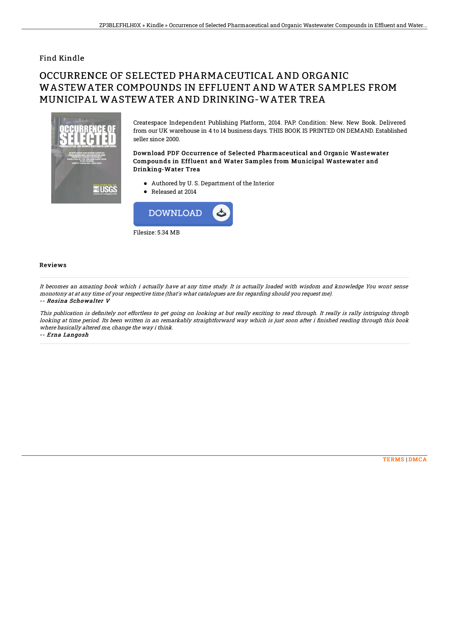## Find Kindle

## OCCURRENCE OF SELECTED PHARMACEUTICAL AND ORGANIC WASTEWATER COMPOUNDS IN EFFLUENT AND WATER SAMPLES FROM MUNICIPAL WASTEWATER AND DRINKING-WATER TREA



Createspace Independent Publishing Platform, 2014. PAP. Condition: New. New Book. Delivered from our UK warehouse in 4 to 14 business days. THIS BOOK IS PRINTED ON DEMAND. Established seller since 2000.

Download PDF Occurrence of Selected Pharmaceutical and Organic Wastewater Compounds in Effluent and Water Samples from Municipal Wastewater and Drinking-Water Trea

- Authored by U. S. Department of the Interior
- Released at 2014



## Reviews

It becomes an amazing book which i actually have at any time study. It is actually loaded with wisdom and knowledge You wont sense monotony at at any time of your respective time (that's what catalogues are for regarding should you request me). -- Rosina Schowalter V

This publication is definitely not effortless to get going on looking at but really exciting to read through. It really is rally intriguing throgh looking at time period. Its been written in an remarkably straightforward way which is just soon after i finished reading through this book where basically altered me, change the way i think.

-- Erna Langosh